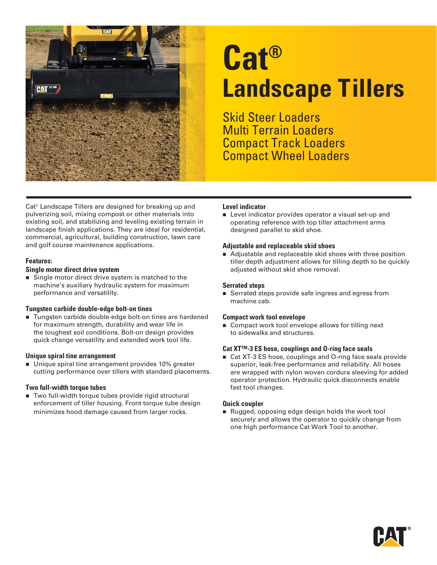

# **Cat® Landscape Tillers**

Skid Steer Loaders Multi Terrain Loaders Compact Track Loaders Compact Wheel Loaders

Cat® Landscape Tillers are designed for breaking up and pulverizing soil, mixing compost or other materials into existing soil, and stabilizing and leveling existing terrain in landscape finish applications. They are ideal for residential, commercial, agricultural, building construction, lawn care and golf course maintenance applications.

#### **Features:**

#### **Single motor direct drive system**

Single motor direct drive system is matched to the machine's auxiliary hydraulic system for maximum performance and versatility.

#### **Tungsten carbide double-edge bolt-on tines**

■ Tungsten carbide double-edge bolt-on tines are hardened for maximum strength, durability and wear life in the toughest soil conditions. Bolt-on design provides quick change versatility and extended work tool life.

#### **Unique spiral tine arrangement**

■ Unique spiral tine arrangement provides 10% greater cutting performance over tillers with standard placements.

#### **Two full-width torque tubes**

■ Two full-width torque tubes provide rigid structural enforcement of tiller housing. Front torque tube design minimizes hood damage caused from larger rocks.

#### **Level indicator**

**EXECTE** Level indicator provides operator a visual set-up and operating reference with top tiller attachment arms designed parallel to skid shoe.

#### **Adjustable and replaceable skid shoes**

■ Adjustable and replaceable skid shoes with three position tiller depth adjustment allows for tilling depth to be quickly adjusted without skid shoe removal.

#### **Serrated steps**

■ Serrated steps provide safe ingress and egress from machine cab.

#### **Compact work tool envelope**

■ Compact work tool envelope allows for tilling next to sidewalks and structures.

#### **Cat XT™-3 ES hose, couplings and O-ring face seals**

■ Cat XT-3 ES hose, couplings and O-ring face seals provide superior, leak-free performance and reliability. All hoses are wrapped with nylon woven cordura sleeving for added operator protection. Hydraulic quick disconnects enable fast tool changes.

#### **Quick coupler**

Rugged, opposing edge design holds the work tool securely and allows the operator to quickly change from one high performance Cat Work Tool to another.

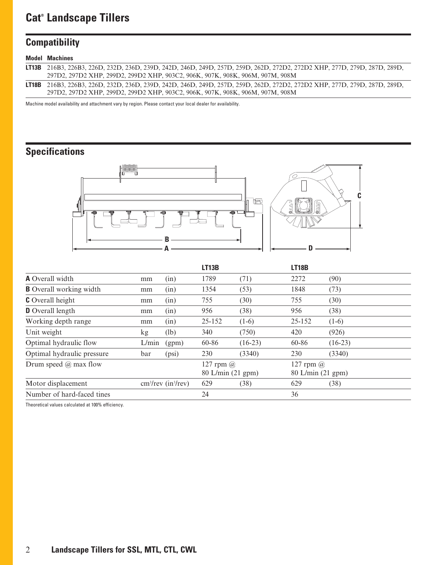## **Cat® Landscape Tillers**

## **Compatibility**

#### **Model Machines**

| <b>LT13B</b> 216B3, 226B3, 226D, 232D, 236D, 239D, 242D, 246D, 249D, 257D, 259D, 262D, 272D2, 272D2 XHP, 277D, 279D, 287D, 289D, |
|----------------------------------------------------------------------------------------------------------------------------------|
| 297D2, 297D2 XHP, 299D2, 299D2 XHP, 903C2, 906K, 907K, 908K, 906M, 907M, 908M                                                    |
| LT18B 216B3, 226B3, 226D, 232D, 236D, 239D, 242D, 246D, 249D, 257D, 259D, 262D, 272D2, 272D2 XHP, 277D, 279D, 287D, 289D,        |
| 297D2, 297D2 XHP, 299D2, 299D2 XHP, 903C2, 906K, 907K, 908K, 906M, 907M, 908M                                                    |

Machine model availability and attachment vary by region. Please contact your local dealer for availability.

## **Specifications**



|                                                        |       |                                       | LT13B  |           | <b>LT18B</b>                       |           |  |
|--------------------------------------------------------|-------|---------------------------------------|--------|-----------|------------------------------------|-----------|--|
| <b>A</b> Overall width                                 | mm    | (in)                                  | 1789   | (71)      | 2272                               | (90)      |  |
| <b>B</b> Overall working width                         | mm    | (in)                                  | 1354   | (53)      | 1848                               | (73)      |  |
| <b>C</b> Overall height                                | mm    | (in)                                  | 755    | (30)      | 755                                | (30)      |  |
| <b>D</b> Overall length                                | mm    | (in)                                  | 956    | (38)      | 956                                | (38)      |  |
| Working depth range                                    | mm    | (in)                                  | 25-152 | $(1-6)$   | 25-152                             | $(1-6)$   |  |
| Unit weight                                            | kg    | (lb)                                  | 340    | (750)     | 420                                | (926)     |  |
| Optimal hydraulic flow                                 | L/min | (gpm)                                 | 60-86  | $(16-23)$ | 60-86                              | $(16-23)$ |  |
| Optimal hydraulic pressure                             | bar   | (psi)                                 | 230    | (3340)    | 230                                | (3340)    |  |
| Drum speed $\omega$ max flow                           |       | 127 rpm $\omega$<br>80 L/min (21 gpm) |        |           | 127 rpm $(a)$<br>80 L/min (21 gpm) |           |  |
| $cm3/rev$ (in <sup>3</sup> /rev)<br>Motor displacement |       | 629                                   | (38)   | 629       | (38)                               |           |  |
| Number of hard-faced tines                             |       | 24                                    |        | 36        |                                    |           |  |

Theoretical values calculated at 100% efficiency.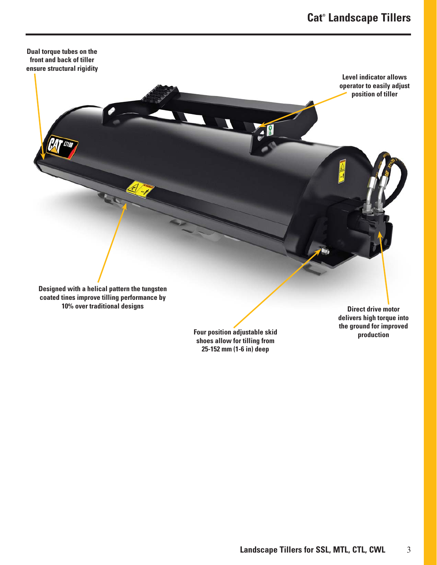

**Four position adjustable skid shoes allow for tilling from 25-152 mm (1-6 in) deep**

**production**